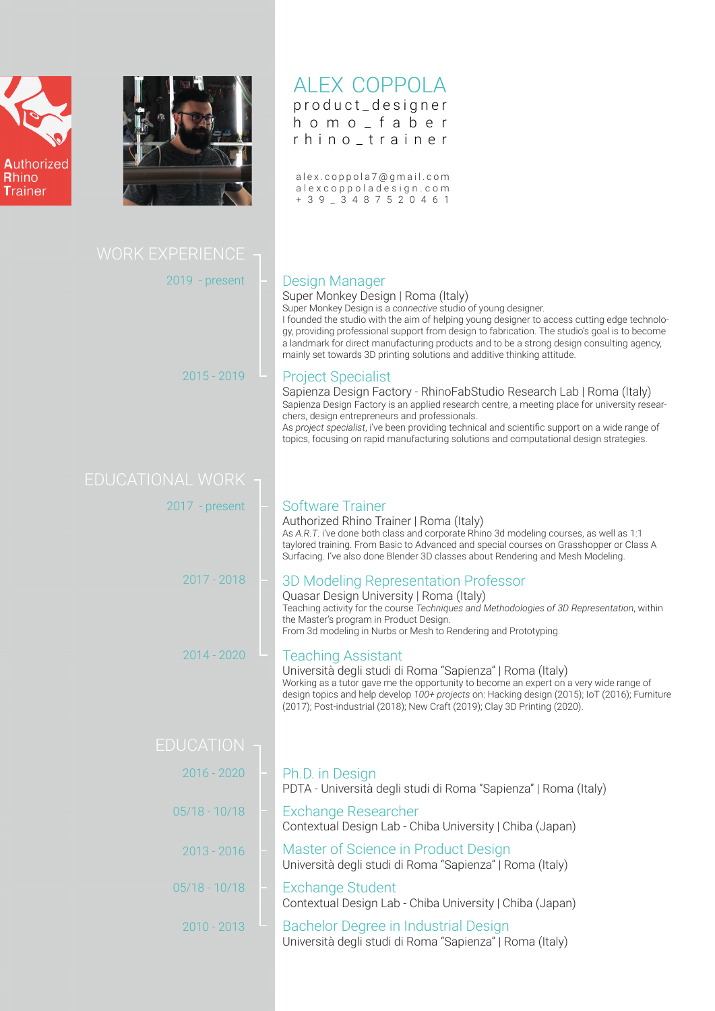



## ALEX COPPOLA product\_designer

homo\_faber rhino\_trainer

a l e x . c o p p o l a 7 @ g m a i l . c o m a l e x c o p p o l a d e s i g n . c o m +39\_3487520461

| <b>WORK EXPERIENCE</b> |                                                                                                                                                                                                                                                                                                                                                                                                                                                                                                        |
|------------------------|--------------------------------------------------------------------------------------------------------------------------------------------------------------------------------------------------------------------------------------------------------------------------------------------------------------------------------------------------------------------------------------------------------------------------------------------------------------------------------------------------------|
| $2019$ - present       | <b>Design Manager</b><br>Super Monkey Design   Roma (Italy)<br>Super Monkey Design is a connective studio of young designer.<br>I founded the studio with the aim of helping young designer to access cutting edge technolo-<br>gy, providing professional support from design to fabrication. The studio's goal is to become<br>a landmark for direct manufacturing products and to be a strong design consulting agency,<br>mainly set towards 3D printing solutions and additive thinking attitude. |
| $2015 - 2019$          | <b>Project Specialist</b><br>Sapienza Design Factory - RhinoFabStudio Research Lab   Roma (Italy)<br>Sapienza Design Factory is an applied research centre, a meeting place for university resear-<br>chers, design entrepreneurs and professionals.<br>As project specialist, i've been providing technical and scientific support on a wide range of<br>topics, focusing on rapid manufacturing solutions and computational design strategies.                                                       |
| DUCATIONAL WORK        |                                                                                                                                                                                                                                                                                                                                                                                                                                                                                                        |
| $2017$ - present       | <b>Software Trainer</b><br>Authorized Rhino Trainer   Roma (Italy)<br>As A.R.T. i've done both class and corporate Rhino 3d modeling courses, as well as 1:1<br>taylored training. From Basic to Advanced and special courses on Grasshopper or Class A<br>Surfacing. I've also done Blender 3D classes about Rendering and Mesh Modeling.                                                                                                                                                             |
| $2017 - 2018$          | 3D Modeling Representation Professor<br>Quasar Design University   Roma (Italy)<br>Teaching activity for the course Techniques and Methodologies of 3D Representation, within<br>the Master's program in Product Design.<br>From 3d modeling in Nurbs or Mesh to Rendering and Prototyping.                                                                                                                                                                                                            |
| $2014 - 2020$          | <b>Teaching Assistant</b><br>Università degli studi di Roma "Sapienza"   Roma (Italy)<br>Working as a tutor gave me the opportunity to become an expert on a very wide range of<br>design topics and help develop 100+ projects on: Hacking design (2015); IoT (2016); Furniture<br>(2017); Post-industrial (2018); New Craft (2019); Clay 3D Printing (2020).                                                                                                                                         |
| <b>EDUCATION</b>       |                                                                                                                                                                                                                                                                                                                                                                                                                                                                                                        |
| $2016 - 2020$          | Ph.D. in Design<br>PDTA - Università degli studi di Roma "Sapienza"   Roma (Italy)                                                                                                                                                                                                                                                                                                                                                                                                                     |
| $05/18 - 10/18$        | <b>Exchange Researcher</b><br>Contextual Design Lab - Chiba University   Chiba (Japan)                                                                                                                                                                                                                                                                                                                                                                                                                 |
| $2013 - 2016$          | Master of Science in Product Design<br>Università degli studi di Roma "Sapienza"   Roma (Italy)                                                                                                                                                                                                                                                                                                                                                                                                        |
| $05/18 - 10/18$        | <b>Exchange Student</b><br>Contextual Design Lab - Chiba University   Chiba (Japan)                                                                                                                                                                                                                                                                                                                                                                                                                    |
| $2010 - 2013$          | Bachelor Degree in Industrial Design<br>Università degli studi di Roma "Sapienza"   Roma (Italy)                                                                                                                                                                                                                                                                                                                                                                                                       |